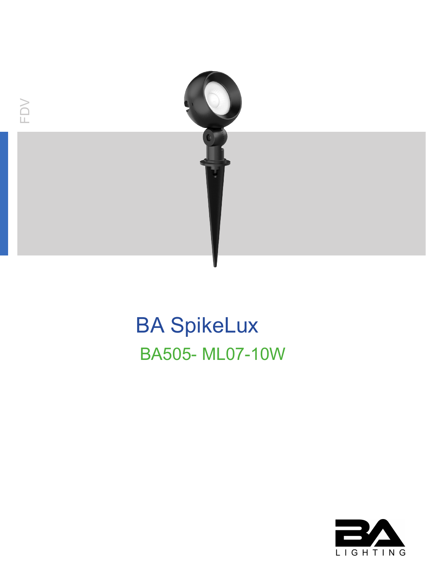

# **BA SpikeLux BA505-ML07-10W**

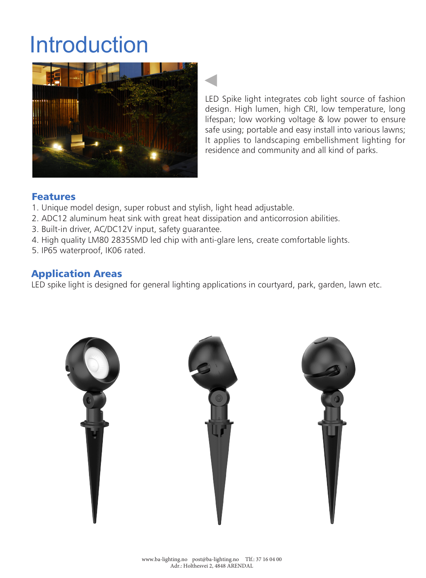## Introduction



LED Spike light integrates cob light source of fashion design. High lumen, high CRI, low temperature, long lifespan; low working voltage & low power to ensure safe using; portable and easy install into various lawns; It applies to landscaping embellishment lighting for residence and community and all kind of parks.

#### Features

- 1. Unique model design, super robust and stylish, light head adjustable.
- 2. ADC12 aluminum heat sink with great heat dissipation and anticorrosion abilities.
- 3. Built-in driver, AC/DC12V input, safety guarantee.
- 4. High quality LM80 2835SMD led chip with anti-glare lens, create comfortable lights.
- 5. IP65 waterproof, IK06 rated.

#### Application Areas

LED spike light is designed for general lighting applications in courtyard, park, garden, lawn etc.

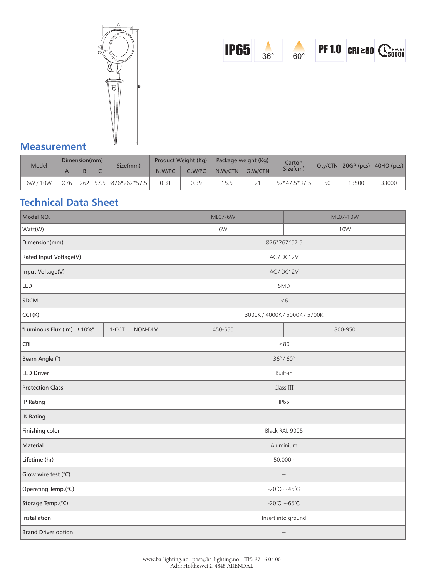



#### **Measurement**

| Model    | Dimension(mm) |     |  |                       | Product Weight (Kg) |        | Package weight (Kg) |         | Carton       |    |                      |            |
|----------|---------------|-----|--|-----------------------|---------------------|--------|---------------------|---------|--------------|----|----------------------|------------|
|          |               |     |  | Size(mm)              | N.W/PC              | G.W/PC | N.W/CTN             | G.W/CTN | Size(cm)     |    | $Qty/CTN$ 20GP (pcs) | 40HQ (pcs) |
| 6W / 10W | Ø76           | 262 |  | $ 57.5 $ Ø76*262*57.5 | 0.31                | 0.39   | 15.5                |         | 57*47.5*37.5 | 50 | 3500                 | 33000      |

## **Technical Data Sheet**

| Model NO.                  |       |         | ML07-6W                           | ML07-10W   |  |  |
|----------------------------|-------|---------|-----------------------------------|------------|--|--|
| Watt(W)                    |       |         | 6W                                | <b>10W</b> |  |  |
| Dimension(mm)              |       |         | Ø76*262*57.5                      |            |  |  |
| Rated Input Voltage(V)     |       |         | AC / DC12V                        |            |  |  |
| Input Voltage(V)           |       |         | AC/DC12V                          |            |  |  |
| LED                        |       |         | SMD                               |            |  |  |
| <b>SDCM</b>                |       |         | < 6                               |            |  |  |
| CCT(K)                     |       |         | 3000K / 4000K / 5000K / 5700K     |            |  |  |
| "Luminous Flux (lm) ±10%"  | 1-CCT | NON-DIM | 450-550                           | 800-950    |  |  |
| <b>CRI</b>                 |       |         | $\geq 80$                         |            |  |  |
| Beam Angle (°)             |       |         | $36^{\circ}$ / $60^{\circ}$       |            |  |  |
| <b>LED Driver</b>          |       |         | Built-in                          |            |  |  |
| <b>Protection Class</b>    |       |         | Class III                         |            |  |  |
| IP Rating                  |       |         | <b>IP65</b>                       |            |  |  |
| <b>IK Rating</b>           |       |         |                                   |            |  |  |
| Finishing color            |       |         | Black RAL 9005                    |            |  |  |
| Material                   |       |         | Aluminium                         |            |  |  |
| Lifetime (hr)              |       |         | 50,000h                           |            |  |  |
| Glow wire test (°C)        |       |         | $\qquad \qquad -$                 |            |  |  |
| Operating Temp.(°C)        |       |         | -20 $^{\circ}$ C ~45 $^{\circ}$ C |            |  |  |
| Storage Temp.(°C)          |       |         | -20 $^{\circ}$ C ~65 $^{\circ}$ C |            |  |  |
| Installation               |       |         | Insert into ground                |            |  |  |
| <b>Brand Driver option</b> |       |         |                                   |            |  |  |